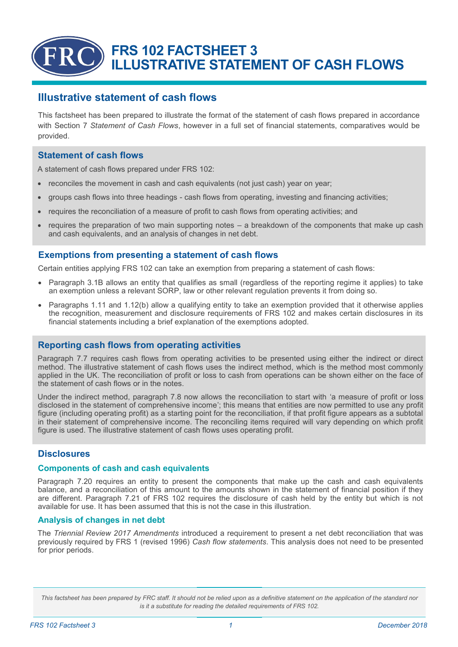# **FRS 102 FACTSHEET 3 ILLUSTRATIVE STATEMENT OF CASH FLOWS**

# **Illustrative statement of cash flows**

This factsheet has been prepared to illustrate the format of the statement of cash flows prepared in accordance with Section 7 *Statement of Cash Flows*, however in a full set of financial statements, comparatives would be provided.

### **Statement of cash flows**

A statement of cash flows prepared under FRS 102:

- reconciles the movement in cash and cash equivalents (not just cash) year on year;
- groups cash flows into three headings cash flows from operating, investing and financing activities;
- requires the reconciliation of a measure of profit to cash flows from operating activities; and
- requires the preparation of two main supporting notes a breakdown of the components that make up cash and cash equivalents, and an analysis of changes in net debt.

## **Exemptions from presenting a statement of cash flows**

Certain entities applying FRS 102 can take an exemption from preparing a statement of cash flows:

- Paragraph 3.1B allows an entity that qualifies as small (regardless of the reporting regime it applies) to take an exemption unless a relevant SORP, law or other relevant regulation prevents it from doing so.
- Paragraphs 1.11 and 1.12(b) allow a qualifying entity to take an exemption provided that it otherwise applies the recognition, measurement and disclosure requirements of FRS 102 and makes certain disclosures in its financial statements including a brief explanation of the exemptions adopted.

#### **Reporting cash flows from operating activities**

Paragraph 7.7 requires cash flows from operating activities to be presented using either the indirect or direct method. The illustrative statement of cash flows uses the indirect method, which is the method most commonly applied in the UK. The reconciliation of profit or loss to cash from operations can be shown either on the face of the statement of cash flows or in the notes.

Under the indirect method, paragraph 7.8 now allows the reconciliation to start with 'a measure of profit or loss disclosed in the statement of comprehensive income'; this means that entities are now permitted to use any profit figure (including operating profit) as a starting point for the reconciliation, if that profit figure appears as a subtotal in their statement of comprehensive income. The reconciling items required will vary depending on which profit figure is used. The illustrative statement of cash flows uses operating profit.

## **Disclosures**

#### **Components of cash and cash equivalents**

Paragraph 7.20 requires an entity to present the components that make up the cash and cash equivalents balance, and a reconciliation of this amount to the amounts shown in the statement of financial position if they are different. Paragraph 7.21 of FRS 102 requires the disclosure of cash held by the entity but which is not available for use. It has been assumed that this is not the case in this illustration.

#### **Analysis of changes in net debt**

The *Triennial Review 2017 Amendments* introduced a requirement to present a net debt reconciliation that was previously required by FRS 1 (revised 1996) *Cash flow statements*. This analysis does not need to be presented for prior periods.

This factsheet has been prepared by FRC staff. It should not be relied upon as a definitive statement on the application of the standard nor *is it a substitute for reading the detailed requirements of FRS 102.*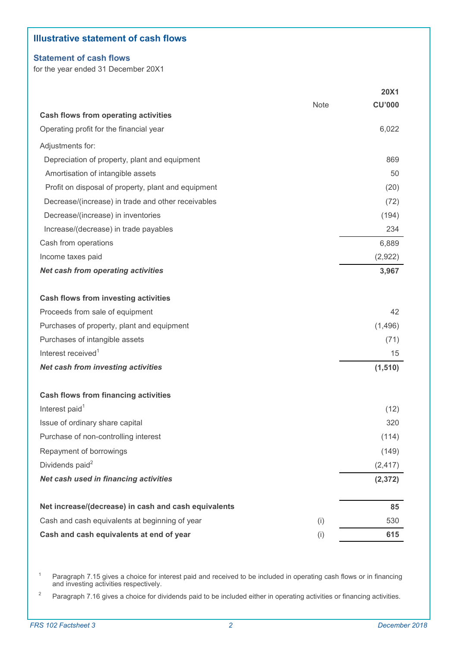## **Illustrative statement of cash flows**

#### **Statement of cash flows**

for the year ended 31 December 20X1

|                                                      |             | <b>20X1</b>   |
|------------------------------------------------------|-------------|---------------|
|                                                      | <b>Note</b> | <b>CU'000</b> |
| <b>Cash flows from operating activities</b>          |             |               |
| Operating profit for the financial year              |             | 6,022         |
| Adjustments for:                                     |             |               |
| Depreciation of property, plant and equipment        |             | 869           |
| Amortisation of intangible assets                    |             | 50            |
| Profit on disposal of property, plant and equipment  |             | (20)          |
| Decrease/(increase) in trade and other receivables   |             | (72)          |
| Decrease/(increase) in inventories                   |             | (194)         |
| Increase/(decrease) in trade payables                |             | 234           |
| Cash from operations                                 |             | 6,889         |
| Income taxes paid                                    |             | (2,922)       |
| <b>Net cash from operating activities</b>            |             | 3,967         |
| <b>Cash flows from investing activities</b>          |             |               |
| Proceeds from sale of equipment                      |             | 42            |
| Purchases of property, plant and equipment           |             | (1,496)       |
| Purchases of intangible assets                       |             | (71)          |
| Interest received <sup>1</sup>                       |             | 15            |
| <b>Net cash from investing activities</b>            |             | (1, 510)      |
| <b>Cash flows from financing activities</b>          |             |               |
| Interest paid <sup>1</sup>                           |             | (12)          |
| Issue of ordinary share capital                      |             | 320           |
| Purchase of non-controlling interest                 |             | (114)         |
| Repayment of borrowings                              |             | (149)         |
| Dividends paid <sup>2</sup>                          |             | (2, 417)      |
| Net cash used in financing activities                |             | (2, 372)      |
| Net increase/(decrease) in cash and cash equivalents |             | 85            |
| Cash and cash equivalents at beginning of year       | (i)         | 530           |
| Cash and cash equivalents at end of year             | (i)         | 615           |

<sup>1</sup> Paragraph 7.15 gives a choice for interest paid and received to be included in operating cash flows or in financing and investing activities respectively.

<sup>2</sup> Paragraph 7.16 gives a choice for dividends paid to be included either in operating activities or financing activities.